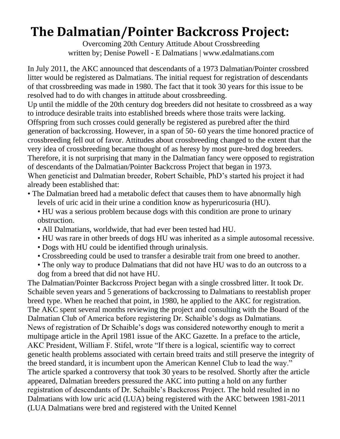## **The Dalmatian/Pointer Backcross Project:**

Overcoming 20th Century Attitude About Crossbreeding written by; Denise Powell - E Dalmatians | www.edalmatians.com

In July 2011, the AKC announced that descendants of a 1973 Dalmatian/Pointer crossbred litter would be registered as Dalmatians. The initial request for registration of descendants of that crossbreeding was made in 1980. The fact that it took 30 years for this issue to be resolved had to do with changes in attitude about crossbreeding.

Up until the middle of the 20th century dog breeders did not hesitate to crossbreed as a way to introduce desirable traits into established breeds where those traits were lacking. Offspring from such crosses could generally be registered as purebred after the third generation of backcrossing. However, in a span of 50- 60 years the time honored practice of crossbreeding fell out of favor. Attitudes about crossbreeding changed to the extent that the very idea of crossbreeding became thought of as heresy by most pure-bred dog breeders. Therefore, it is not surprising that many in the Dalmatian fancy were opposed to registration of descendants of the Dalmatian/Pointer Backcross Project that began in 1973. When geneticist and Dalmatian breeder, Robert Schaible, PhD's started his project it had already been established that:

- The Dalmatian breed had a metabolic defect that causes them to have abnormally high levels of uric acid in their urine a condition know as hyperuricosuria (HU).
	- HU was a serious problem because dogs with this condition are prone to urinary obstruction.
	- All Dalmatians, worldwide, that had ever been tested had HU.
	- HU was rare in other breeds of dogs HU was inherited as a simple autosomal recessive.
	- Dogs with HU could be identified through urinalysis.
	- Crossbreeding could be used to transfer a desirable trait from one breed to another.
	- The only way to produce Dalmatians that did not have HU was to do an outcross to a dog from a breed that did not have HU.

The Dalmatian/Pointer Backcross Project began with a single crossbred litter. It took Dr. Schaible seven years and 5 generations of backcrossing to Dalmatians to reestablish proper breed type. When he reached that point, in 1980, he applied to the AKC for registration. The AKC spent several months reviewing the project and consulting with the Board of the Dalmatian Club of America before registering Dr. Schaible's dogs as Dalmatians. News of registration of Dr Schaible's dogs was considered noteworthy enough to merit a multipage article in the April 1981 issue of the AKC Gazette. In a preface to the article, AKC President, William F. Stifel, wrote "If there is a logical, scientific way to correct genetic health problems associated with certain breed traits and still preserve the integrity of the breed standard, it is incumbent upon the American Kennel Club to lead the way." The article sparked a controversy that took 30 years to be resolved. Shortly after the article appeared, Dalmatian breeders pressured the AKC into putting a hold on any further registration of descendants of Dr. Schaible's Backcross Project. The hold resulted in no Dalmatians with low uric acid (LUA) being registered with the AKC between 1981-2011 (LUA Dalmatians were bred and registered with the United Kennel